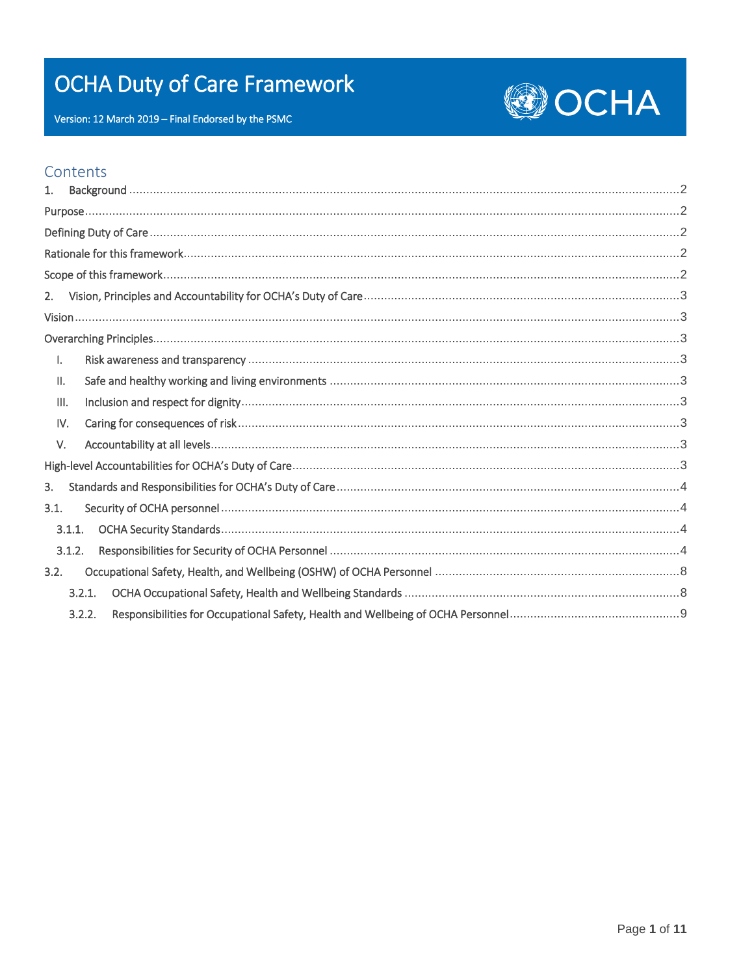# **OCHA Duty of Care Framework**



Version: 12 March 2019 - Final Endorsed by the PSMC

# Contents

| 1.              |        |  |  |
|-----------------|--------|--|--|
|                 |        |  |  |
|                 |        |  |  |
|                 |        |  |  |
|                 |        |  |  |
| 2.              |        |  |  |
|                 |        |  |  |
|                 |        |  |  |
| Ι.              |        |  |  |
| $\mathbf{II}$ . |        |  |  |
| III.            |        |  |  |
|                 | IV.    |  |  |
| V.              |        |  |  |
|                 |        |  |  |
| 3.              |        |  |  |
| 3.1.            |        |  |  |
|                 | 3.1.1. |  |  |
|                 | 3.1.2. |  |  |
| 3.2.            |        |  |  |
|                 | 3.2.1. |  |  |
|                 | 3.2.2. |  |  |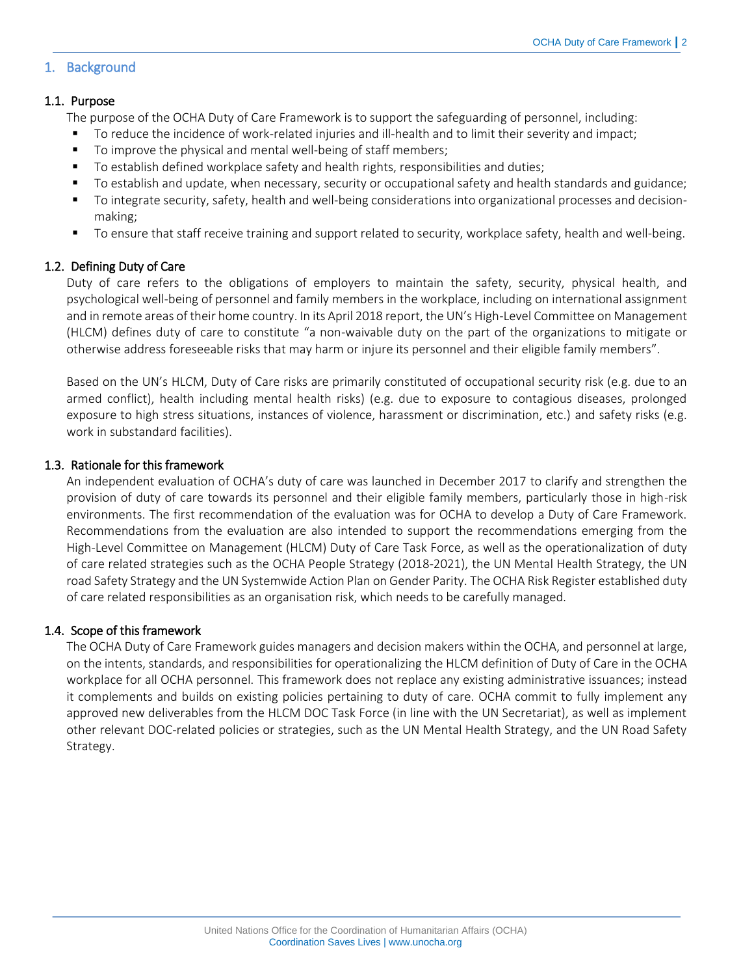# <span id="page-1-1"></span><span id="page-1-0"></span>1. Background

# 1.1. Purpose

The purpose of the OCHA Duty of Care Framework is to support the safeguarding of personnel, including:

- To reduce the incidence of work-related injuries and ill-health and to limit their severity and impact;
- To improve the physical and mental well-being of staff members;
- To establish defined workplace safety and health rights, responsibilities and duties;
- To establish and update, when necessary, security or occupational safety and health standards and guidance;
- To integrate security, safety, health and well-being considerations into organizational processes and decisionmaking;
- To ensure that staff receive training and support related to security, workplace safety, health and well-being.

# <span id="page-1-2"></span>1.2. Defining Duty of Care

Duty of care refers to the obligations of employers to maintain the safety, security, physical health, and psychological well-being of personnel and family members in the workplace, including on international assignment and in remote areas of their home country. In its April 2018 report, the UN's High-Level Committee on Management (HLCM) defines duty of care to constitute "a non-waivable duty on the part of the organizations to mitigate or otherwise address foreseeable risks that may harm or injure its personnel and their eligible family members".

Based on the UN's HLCM, Duty of Care risks are primarily constituted of occupational security risk (e.g. due to an armed conflict), health including mental health risks) (e.g. due to exposure to contagious diseases, prolonged exposure to high stress situations, instances of violence, harassment or discrimination, etc.) and safety risks (e.g. work in substandard facilities).

# <span id="page-1-3"></span>1.3. Rationale for this framework

An independent evaluation of OCHA's duty of care was launched in December 2017 to clarify and strengthen the provision of duty of care towards its personnel and their eligible family members, particularly those in high-risk environments. The first recommendation of the evaluation was for OCHA to develop a Duty of Care Framework. Recommendations from the evaluation are also intended to support the recommendations emerging from the High-Level Committee on Management (HLCM) Duty of Care Task Force, as well as the operationalization of duty of care related strategies such as the OCHA People Strategy (2018-2021), the UN Mental Health Strategy, the UN road Safety Strategy and the UN Systemwide Action Plan on Gender Parity. The OCHA Risk Register established duty of care related responsibilities as an organisation risk, which needs to be carefully managed.

# <span id="page-1-4"></span>1.4. Scope of this framework

The OCHA Duty of Care Framework guides managers and decision makers within the OCHA, and personnel at large, on the intents, standards, and responsibilities for operationalizing the HLCM definition of Duty of Care in the OCHA workplace for all OCHA personnel. This framework does not replace any existing administrative issuances; instead it complements and builds on existing policies pertaining to duty of care. OCHA commit to fully implement any approved new deliverables from the HLCM DOC Task Force (in line with the UN Secretariat), as well as implement other relevant DOC-related policies or strategies, such as the UN Mental Health Strategy, and the UN Road Safety Strategy.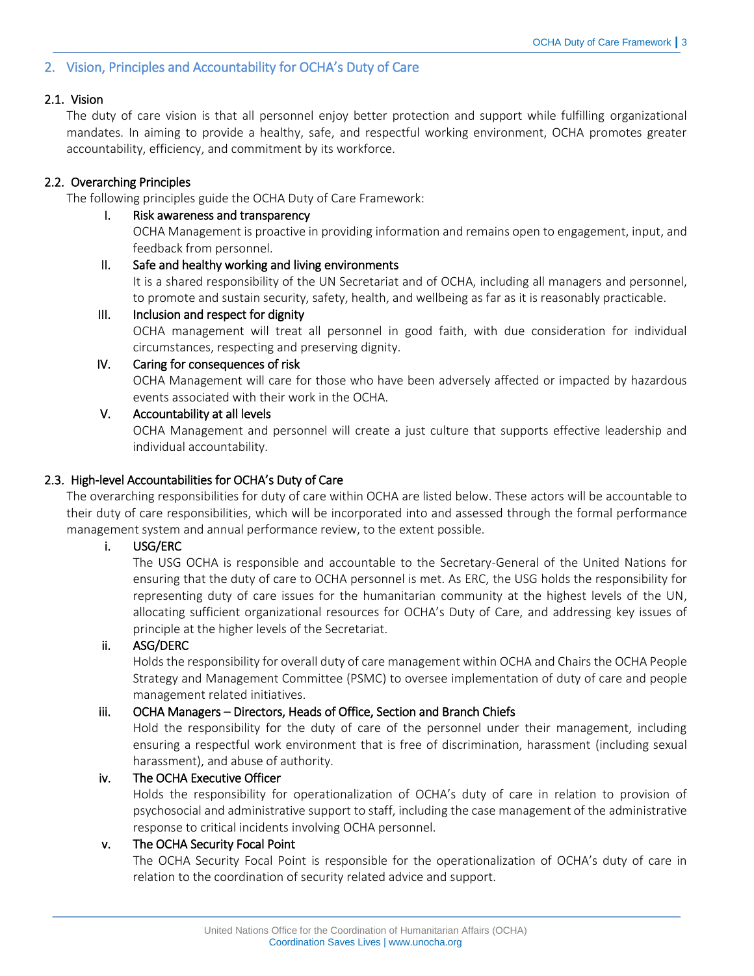# <span id="page-2-0"></span>2. Vision, Principles and Accountability for OCHA's Duty of Care

# <span id="page-2-1"></span>2.1. Vision

The duty of care vision is that all personnel enjoy better protection and support while fulfilling organizational mandates. In aiming to provide a healthy, safe, and respectful working environment, OCHA promotes greater accountability, efficiency, and commitment by its workforce.

# <span id="page-2-2"></span>2.2. Overarching Principles

<span id="page-2-3"></span>The following principles guide the OCHA Duty of Care Framework:

#### I. Risk awareness and transparency

OCHA Management is proactive in providing information and remains open to engagement, input, and feedback from personnel.

# <span id="page-2-4"></span>II. Safe and healthy working and living environments

It is a shared responsibility of the UN Secretariat and of OCHA, including all managers and personnel, to promote and sustain security, safety, health, and wellbeing as far as it is reasonably practicable.

#### <span id="page-2-5"></span>III. Inclusion and respect for dignity

OCHA management will treat all personnel in good faith, with due consideration for individual circumstances, respecting and preserving dignity.

# <span id="page-2-6"></span>IV. Caring for consequences of risk

OCHA Management will care for those who have been adversely affected or impacted by hazardous events associated with their work in the OCHA.

#### <span id="page-2-7"></span>V. Accountability at all levels

OCHA Management and personnel will create a just culture that supports effective leadership and individual accountability.

# <span id="page-2-8"></span>2.3. High-level Accountabilities for OCHA's Duty of Care

The overarching responsibilities for duty of care within OCHA are listed below. These actors will be accountable to their duty of care responsibilities, which will be incorporated into and assessed through the formal performance management system and annual performance review, to the extent possible.

# i. USG/ERC

The USG OCHA is responsible and accountable to the Secretary-General of the United Nations for ensuring that the duty of care to OCHA personnel is met. As ERC, the USG holds the responsibility for representing duty of care issues for the humanitarian community at the highest levels of the UN, allocating sufficient organizational resources for OCHA's Duty of Care, and addressing key issues of principle at the higher levels of the Secretariat.

#### ii. ASG/DERC

Holds the responsibility for overall duty of care management within OCHA and Chairs the OCHA People Strategy and Management Committee (PSMC) to oversee implementation of duty of care and people management related initiatives.

# iii. OCHA Managers – Directors, Heads of Office, Section and Branch Chiefs

Hold the responsibility for the duty of care of the personnel under their management, including ensuring a respectful work environment that is free of discrimination, harassment (including sexual harassment), and abuse of authority.

# iv. The OCHA Executive Officer

Holds the responsibility for operationalization of OCHA's duty of care in relation to provision of psychosocial and administrative support to staff, including the case management of the administrative response to critical incidents involving OCHA personnel.

# v. The OCHA Security Focal Point

The OCHA Security Focal Point is responsible for the operationalization of OCHA's duty of care in relation to the coordination of security related advice and support.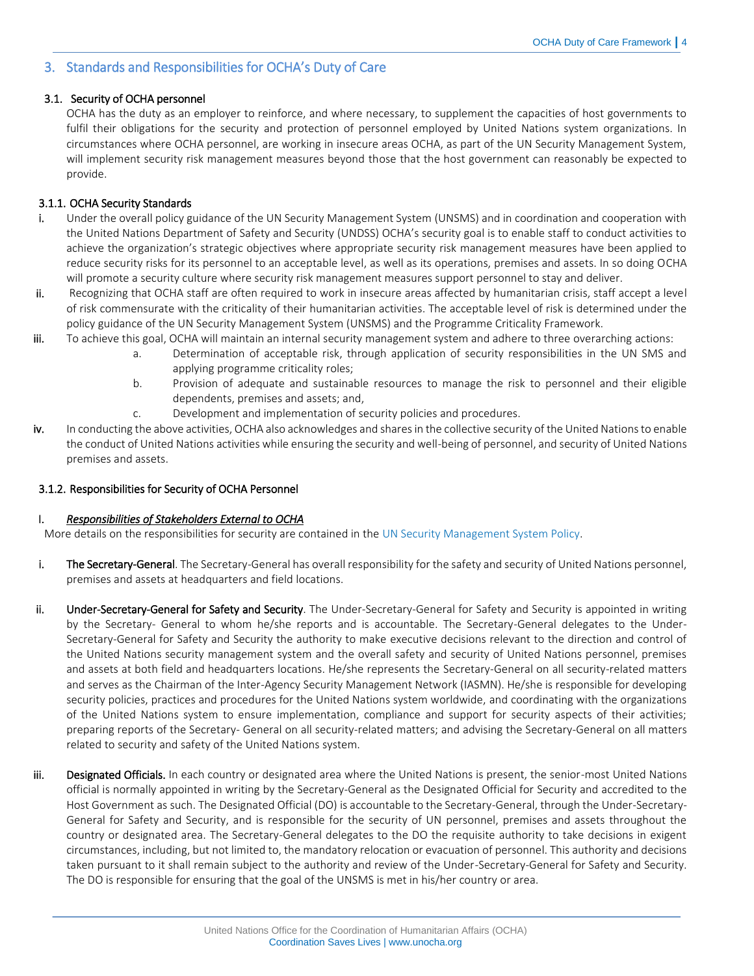# <span id="page-3-0"></span>3. Standards and Responsibilities for OCHA's Duty of Care

#### <span id="page-3-1"></span>3.1. Security of OCHA personnel

OCHA has the duty as an employer to reinforce, and where necessary, to supplement the capacities of host governments to fulfil their obligations for the security and protection of personnel employed by United Nations system organizations. In circumstances where OCHA personnel, are working in insecure areas OCHA, as part of the UN Security Management System, will implement security risk management measures beyond those that the host government can reasonably be expected to provide.

#### <span id="page-3-2"></span>3.1.1. OCHA Security Standards

- i. Under the overall policy guidance of the UN Security Management System (UNSMS) and in coordination and cooperation with the United Nations Department of Safety and Security (UNDSS) OCHA's security goal is to enable staff to conduct activities to achieve the organization's strategic objectives where appropriate security risk management measures have been applied to reduce security risks for its personnel to an acceptable level, as well as its operations, premises and assets. In so doing OCHA will promote a security culture where security risk management measures support personnel to stay and deliver.
- ii. Recognizing that OCHA staff are often required to work in insecure areas affected by humanitarian crisis, staff accept a level of risk commensurate with the criticality of their humanitarian activities. The acceptable level of risk is determined under the policy guidance of the UN Security Management System (UNSMS) and the Programme Criticality Framework.
- iii. To achieve this goal, OCHA will maintain an internal security management system and adhere to three overarching actions:
	- a. Determination of acceptable risk, through application of security responsibilities in the UN SMS and applying programme criticality roles;
	- b. Provision of adequate and sustainable resources to manage the risk to personnel and their eligible dependents, premises and assets; and,
	- c. Development and implementation of security policies and procedures.
- iv. In conducting the above activities, OCHA also acknowledges and shares in the collective security of the United Nations to enable the conduct of United Nations activities while ensuring the security and well-being of personnel, and security of United Nations premises and assets.

#### <span id="page-3-3"></span>3.1.2. Responsibilities for Security of OCHA Personnel

#### I. *Responsibilities of Stakeholders External to OCHA*

More details on the responsibilities for security are contained in th[e UN Security Management System Policy.](https://ochanet.unocha.org/TI/Security/SecurityDocuments/UN%20SMS%20Security%20Policy%20Manual.pdf)

- i. The Secretary-General. The Secretary-General has overall responsibility for the safety and security of United Nations personnel, premises and assets at headquarters and field locations.
- ii. Under-Secretary-General for Safety and Security. The Under-Secretary-General for Safety and Security is appointed in writing by the Secretary- General to whom he/she reports and is accountable. The Secretary-General delegates to the Under-Secretary-General for Safety and Security the authority to make executive decisions relevant to the direction and control of the United Nations security management system and the overall safety and security of United Nations personnel, premises and assets at both field and headquarters locations. He/she represents the Secretary-General on all security-related matters and serves as the Chairman of the Inter-Agency Security Management Network (IASMN). He/she is responsible for developing security policies, practices and procedures for the United Nations system worldwide, and coordinating with the organizations of the United Nations system to ensure implementation, compliance and support for security aspects of their activities; preparing reports of the Secretary- General on all security-related matters; and advising the Secretary-General on all matters related to security and safety of the United Nations system.
- iii. Designated Officials. In each country or designated area where the United Nations is present, the senior-most United Nations official is normally appointed in writing by the Secretary-General as the Designated Official for Security and accredited to the Host Government as such. The Designated Official (DO) is accountable to the Secretary-General, through the Under-Secretary-General for Safety and Security, and is responsible for the security of UN personnel, premises and assets throughout the country or designated area. The Secretary-General delegates to the DO the requisite authority to take decisions in exigent circumstances, including, but not limited to, the mandatory relocation or evacuation of personnel. This authority and decisions taken pursuant to it shall remain subject to the authority and review of the Under-Secretary-General for Safety and Security. The DO is responsible for ensuring that the goal of the UNSMS is met in his/her country or area.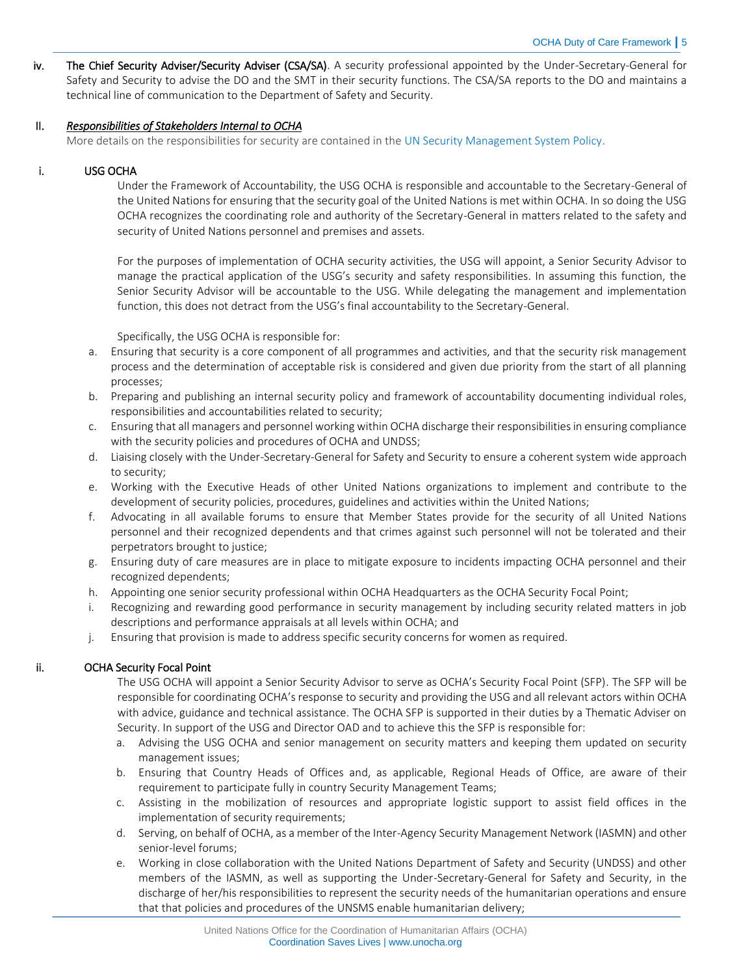iv. The Chief Security Adviser/Security Adviser (CSA/SA). A security professional appointed by the Under-Secretary-General for Safety and Security to advise the DO and the SMT in their security functions. The CSA/SA reports to the DO and maintains a technical line of communication to the Department of Safety and Security.

#### II. *Responsibilities of Stakeholders Internal to OCHA*

More details on the responsibilities for security are contained in th[e UN Security Management System Policy.](https://ochanet.unocha.org/TI/Security/SecurityDocuments/UN%20SMS%20Security%20Policy%20Manual.pdf)

#### i. USG OCHA

Under the Framework of Accountability, the USG OCHA is responsible and accountable to the Secretary-General of the United Nations for ensuring that the security goal of the United Nations is met within OCHA. In so doing the USG OCHA recognizes the coordinating role and authority of the Secretary-General in matters related to the safety and security of United Nations personnel and premises and assets.

For the purposes of implementation of OCHA security activities, the USG will appoint, a Senior Security Advisor to manage the practical application of the USG's security and safety responsibilities. In assuming this function, the Senior Security Advisor will be accountable to the USG. While delegating the management and implementation function, this does not detract from the USG's final accountability to the Secretary-General.

Specifically, the USG OCHA is responsible for:

- a. Ensuring that security is a core component of all programmes and activities, and that the security risk management process and the determination of acceptable risk is considered and given due priority from the start of all planning processes;
- b. Preparing and publishing an internal security policy and framework of accountability documenting individual roles, responsibilities and accountabilities related to security;
- c. Ensuring that all managers and personnel working within OCHA discharge their responsibilities in ensuring compliance with the security policies and procedures of OCHA and UNDSS;
- d. Liaising closely with the Under-Secretary-General for Safety and Security to ensure a coherent system wide approach to security;
- e. Working with the Executive Heads of other United Nations organizations to implement and contribute to the development of security policies, procedures, guidelines and activities within the United Nations;
- f. Advocating in all available forums to ensure that Member States provide for the security of all United Nations personnel and their recognized dependents and that crimes against such personnel will not be tolerated and their perpetrators brought to justice;
- g. Ensuring duty of care measures are in place to mitigate exposure to incidents impacting OCHA personnel and their recognized dependents;
- h. Appointing one senior security professional within OCHA Headquarters as the OCHA Security Focal Point;
- i. Recognizing and rewarding good performance in security management by including security related matters in job descriptions and performance appraisals at all levels within OCHA; and
- j. Ensuring that provision is made to address specific security concerns for women as required.

# ii. OCHA Security Focal Point

The USG OCHA will appoint a Senior Security Advisor to serve as OCHA's Security Focal Point (SFP). The SFP will be responsible for coordinating OCHA's response to security and providing the USG and all relevant actors within OCHA with advice, guidance and technical assistance. The OCHA SFP is supported in their duties by a Thematic Adviser on Security. In support of the USG and Director OAD and to achieve this the SFP is responsible for:

- a. Advising the USG OCHA and senior management on security matters and keeping them updated on security management issues;
- b. Ensuring that Country Heads of Offices and, as applicable, Regional Heads of Office, are aware of their requirement to participate fully in country Security Management Teams;
- c. Assisting in the mobilization of resources and appropriate logistic support to assist field offices in the implementation of security requirements;
- d. Serving, on behalf of OCHA, as a member of the Inter-Agency Security Management Network (IASMN) and other senior-level forums;
- e. Working in close collaboration with the United Nations Department of Safety and Security (UNDSS) and other members of the IASMN, as well as supporting the Under-Secretary-General for Safety and Security, in the discharge of her/his responsibilities to represent the security needs of the humanitarian operations and ensure that that policies and procedures of the UNSMS enable humanitarian delivery;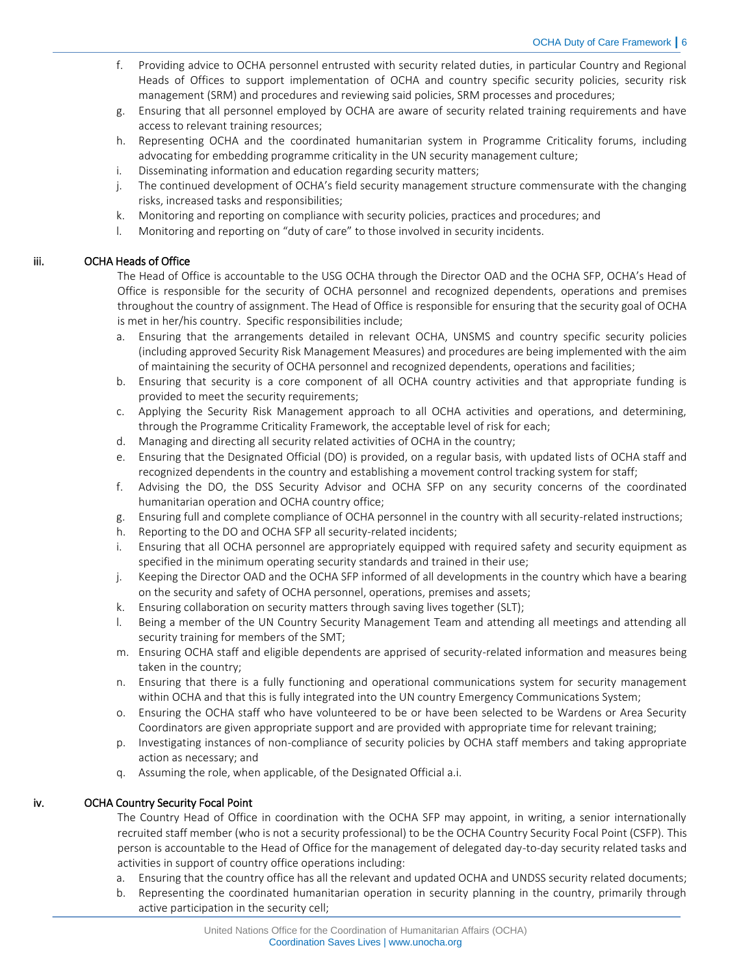- f. Providing advice to OCHA personnel entrusted with security related duties, in particular Country and Regional Heads of Offices to support implementation of OCHA and country specific security policies, security risk management (SRM) and procedures and reviewing said policies, SRM processes and procedures;
- g. Ensuring that all personnel employed by OCHA are aware of security related training requirements and have access to relevant training resources;
- h. Representing OCHA and the coordinated humanitarian system in Programme Criticality forums, including advocating for embedding programme criticality in the UN security management culture;
- i. Disseminating information and education regarding security matters;
- j. The continued development of OCHA's field security management structure commensurate with the changing risks, increased tasks and responsibilities;
- k. Monitoring and reporting on compliance with security policies, practices and procedures; and
- l. Monitoring and reporting on "duty of care" to those involved in security incidents.

# iii. OCHA Heads of Office

The Head of Office is accountable to the USG OCHA through the Director OAD and the OCHA SFP, OCHA's Head of Office is responsible for the security of OCHA personnel and recognized dependents, operations and premises throughout the country of assignment. The Head of Office is responsible for ensuring that the security goal of OCHA is met in her/his country. Specific responsibilities include;

- a. Ensuring that the arrangements detailed in relevant OCHA, UNSMS and country specific security policies (including approved Security Risk Management Measures) and procedures are being implemented with the aim of maintaining the security of OCHA personnel and recognized dependents, operations and facilities;
- b. Ensuring that security is a core component of all OCHA country activities and that appropriate funding is provided to meet the security requirements;
- c. Applying the Security Risk Management approach to all OCHA activities and operations, and determining, through the Programme Criticality Framework, the acceptable level of risk for each;
- d. Managing and directing all security related activities of OCHA in the country;
- e. Ensuring that the Designated Official (DO) is provided, on a regular basis, with updated lists of OCHA staff and recognized dependents in the country and establishing a movement control tracking system for staff;
- f. Advising the DO, the DSS Security Advisor and OCHA SFP on any security concerns of the coordinated humanitarian operation and OCHA country office;
- g. Ensuring full and complete compliance of OCHA personnel in the country with all security-related instructions;
- h. Reporting to the DO and OCHA SFP all security-related incidents;
- i. Ensuring that all OCHA personnel are appropriately equipped with required safety and security equipment as specified in the minimum operating security standards and trained in their use;
- j. Keeping the Director OAD and the OCHA SFP informed of all developments in the country which have a bearing on the security and safety of OCHA personnel, operations, premises and assets;
- k. Ensuring collaboration on security matters through saving lives together (SLT);
- l. Being a member of the UN Country Security Management Team and attending all meetings and attending all security training for members of the SMT;
- m. Ensuring OCHA staff and eligible dependents are apprised of security-related information and measures being taken in the country;
- n. Ensuring that there is a fully functioning and operational communications system for security management within OCHA and that this is fully integrated into the UN country Emergency Communications System;
- o. Ensuring the OCHA staff who have volunteered to be or have been selected to be Wardens or Area Security Coordinators are given appropriate support and are provided with appropriate time for relevant training;
- p. Investigating instances of non-compliance of security policies by OCHA staff members and taking appropriate action as necessary; and
- q. Assuming the role, when applicable, of the Designated Official a.i.

# iv. OCHA Country Security Focal Point

The Country Head of Office in coordination with the OCHA SFP may appoint, in writing, a senior internationally recruited staff member (who is not a security professional) to be the OCHA Country Security Focal Point (CSFP). This person is accountable to the Head of Office for the management of delegated day-to-day security related tasks and activities in support of country office operations including:

- a. Ensuring that the country office has all the relevant and updated OCHA and UNDSS security related documents;
- b. Representing the coordinated humanitarian operation in security planning in the country, primarily through active participation in the security cell;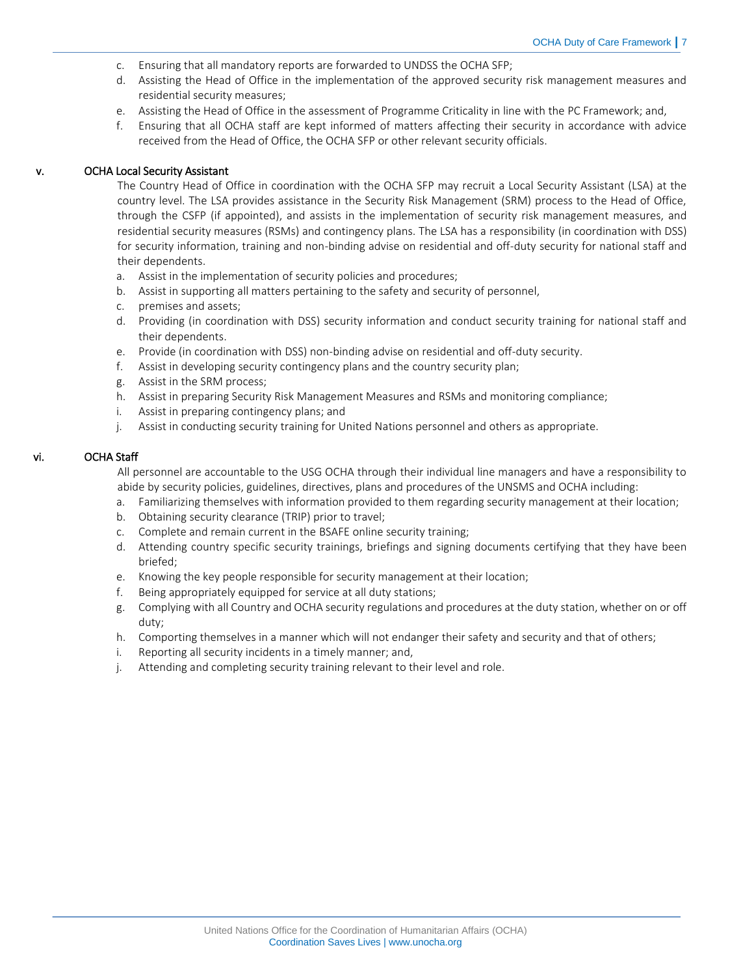- c. Ensuring that all mandatory reports are forwarded to UNDSS the OCHA SFP;
- d. Assisting the Head of Office in the implementation of the approved security risk management measures and residential security measures;
- e. Assisting the Head of Office in the assessment of Programme Criticality in line with the PC Framework; and,
- f. Ensuring that all OCHA staff are kept informed of matters affecting their security in accordance with advice received from the Head of Office, the OCHA SFP or other relevant security officials.

#### v. OCHA Local Security Assistant

The Country Head of Office in coordination with the OCHA SFP may recruit a Local Security Assistant (LSA) at the country level. The LSA provides assistance in the Security Risk Management (SRM) process to the Head of Office, through the CSFP (if appointed), and assists in the implementation of security risk management measures, and residential security measures (RSMs) and contingency plans. The LSA has a responsibility (in coordination with DSS) for security information, training and non-binding advise on residential and off-duty security for national staff and their dependents.

- a. Assist in the implementation of security policies and procedures;
- b. Assist in supporting all matters pertaining to the safety and security of personnel,
- c. premises and assets;
- d. Providing (in coordination with DSS) security information and conduct security training for national staff and their dependents.
- e. Provide (in coordination with DSS) non-binding advise on residential and off-duty security.
- f. Assist in developing security contingency plans and the country security plan;
- g. Assist in the SRM process;
- h. Assist in preparing Security Risk Management Measures and RSMs and monitoring compliance;
- i. Assist in preparing contingency plans; and
- j. Assist in conducting security training for United Nations personnel and others as appropriate.

#### vi. OCHA Staff

All personnel are accountable to the USG OCHA through their individual line managers and have a responsibility to abide by security policies, guidelines, directives, plans and procedures of the UNSMS and OCHA including:

- a. Familiarizing themselves with information provided to them regarding security management at their location;
- b. Obtaining security clearance (TRIP) prior to travel;
- c. Complete and remain current in the BSAFE online security training;
- d. Attending country specific security trainings, briefings and signing documents certifying that they have been briefed;
- e. Knowing the key people responsible for security management at their location;
- f. Being appropriately equipped for service at all duty stations;
- g. Complying with all Country and OCHA security regulations and procedures at the duty station, whether on or off duty;
- h. Comporting themselves in a manner which will not endanger their safety and security and that of others;
- i. Reporting all security incidents in a timely manner; and,
- j. Attending and completing security training relevant to their level and role.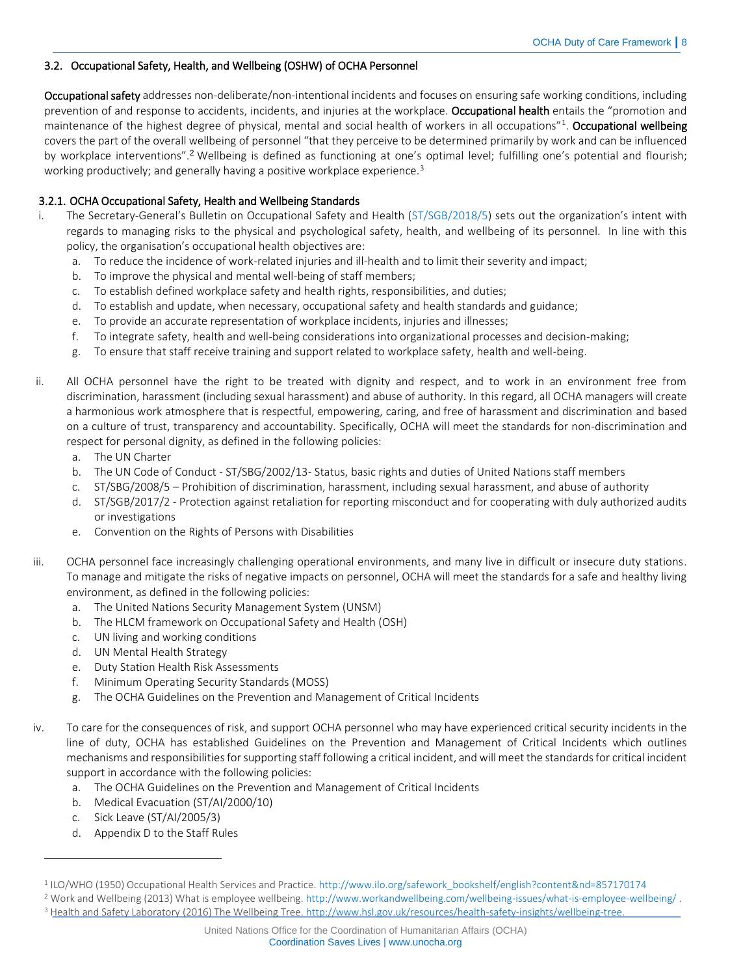# <span id="page-7-0"></span>3.2. Occupational Safety, Health, and Wellbeing (OSHW) of OCHA Personnel

Occupational safety addresses non-deliberate/non-intentional incidents and focuses on ensuring safe working conditions, including prevention of and response to accidents, incidents, and injuries at the workplace. Occupational health entails the "promotion and maintenance of the highest degree of physical, mental and social health of workers in all occupations"<sup>1</sup>. **Occupational wellbeing** covers the part of the overall wellbeing of personnel "that they perceive to be determined primarily by work and can be influenced by workplace interventions".<sup>2</sup> Wellbeing is defined as functioning at one's optimal level; fulfilling one's potential and flourish; working productively; and generally having a positive workplace experience.<sup>3</sup>

# <span id="page-7-1"></span>3.2.1. OCHA Occupational Safety, Health and Wellbeing Standards

- i. The Secretary-General's Bulletin on Occupational Safety and Health ([ST/SGB/2018/5\)](https://hr.un.org/sites/hr.un.org/files/handbook/Secretary-General%27s%20Bulletins/ST.SGB_.2018.5%20-%20Introduction%20of%20an%20Occupational%20Safety%20and%20Health%20Management%20System.docx) sets out the organization's intent with regards to managing risks to the physical and psychological safety, health, and wellbeing of its personnel. In line with this policy, the organisation's occupational health objectives are:
	- a. To reduce the incidence of work-related injuries and ill-health and to limit their severity and impact;
	- b. To improve the physical and mental well-being of staff members;
	- c. To establish defined workplace safety and health rights, responsibilities, and duties;
	- d. To establish and update, when necessary, occupational safety and health standards and guidance;
	- e. To provide an accurate representation of workplace incidents, injuries and illnesses;
	- f. To integrate safety, health and well-being considerations into organizational processes and decision-making;
	- g. To ensure that staff receive training and support related to workplace safety, health and well-being.
- ii. All OCHA personnel have the right to be treated with dignity and respect, and to work in an environment free from discrimination, harassment (including sexual harassment) and abuse of authority. In this regard, all OCHA managers will create a harmonious work atmosphere that is respectful, empowering, caring, and free of harassment and discrimination and based on a culture of trust, transparency and accountability. Specifically, OCHA will meet the standards for non-discrimination and respect for personal dignity, as defined in the following policies:
	- a. [The UN Charter](file:///C:/Users/Hannah.Smith/AppData/Local/Microsoft/Windows/Temporary%20Internet%20Files/Content.Outlook/RFJGUWOU/•%09UN%20Charter)
	- b. The UN Code of Conduct ST/SBG/2002/13- Status, basic rights and duties of United Nations staff members
	- c. ST/SBG/2008/5 [Prohibition of discrimination, harassment, including sexual harassment, and abuse of authority](https://hr.un.org/sites/hr.un.org/files/1/documents_sources-english/08_secretary-general)
	- d. ST/SGB/2017/2 [Protection against retaliation for reporting misconduct and for cooperating with duly authorized audits](https://hr.un.org/sites/hr.un.org/files/handbook/SGB%20-%202017%20-%20%202Rev.1%20%20%5BProtection%20agains%20retaliation..%5D.docx)  [or investigations](https://hr.un.org/sites/hr.un.org/files/handbook/SGB%20-%202017%20-%20%202Rev.1%20%20%5BProtection%20agains%20retaliation..%5D.docx)
	- e. Convention on the Rights of Persons with Disabilities
- iii. OCHA personnel face increasingly challenging operational environments, and many live in difficult or insecure duty stations. To manage and mitigate the risks of negative impacts on personnel, OCHA will meet the standards for a safe and healthy living environment, as defined in the following policies:
	- a. The United Nations Security Management System (UNSM)
	- b. The HLCM framework on Occupational Safety and Health (OSH)
	- c. UN living and working conditions
	- d. UN Mental Health Strategy
	- e. Duty Station Health Risk Assessments
	- f. Minimum Operating Security Standards (MOSS)
	- g. The OCHA Guidelines on the Prevention and Management of Critical Incidents
- iv. To care for the consequences of risk, and support OCHA personnel who may have experienced critical security incidents in the line of duty, OCHA has established Guidelines on the Prevention and Management of Critical Incidents which outlines mechanisms and responsibilities for supporting staff following a critical incident, and will meet the standards for critical incident support in accordance with the following policies:
	- a. The OCHA Guidelines on the Prevention and Management of Critical Incidents
	- b. [Medical Evacuation \(ST/AI/2000/10\)](https://iseek-newyork.un.org/system/files/iseek/LibraryDocuments/124-200601271509345457462.pdf)
	- c. [Sick Leave \(ST/AI/2005/3\)](https://iseek-newyork.un.org/system/files/iseek/LibraryDocuments/124-200601271542345655485.pdf)

 $\overline{a}$ 

d. Appendix D [to the Staff Rules](https://iseek-newyork.un.org/system/files/iseek/LibraryDocuments/124-201111031405105071028.pdf)

<sup>3</sup> Health and Safety Laboratory (2016) The Wellbeing Tree[. http://www.hsl.gov.uk/resources/health-safety-insights/wellbeing-tree.](http://www.hsl.gov.uk/resources/health-safety-insights/wellbeing-tree)

<sup>1</sup> ILO/WHO (1950) Occupational Health Services and Practice. [http://www.ilo.org/safework\\_bookshelf/english?content&nd=857170174](http://www.ilo.org/safework_bookshelf/english?content&nd=857170174)

<sup>2</sup> Work and Wellbeing (2013) What is employee wellbeing[. http://www.workandwellbeing.com/wellbeing-issues/what-is-employee-wellbeing/](http://www.workandwellbeing.com/wellbeing-issues/what-is-employee-wellbeing/) .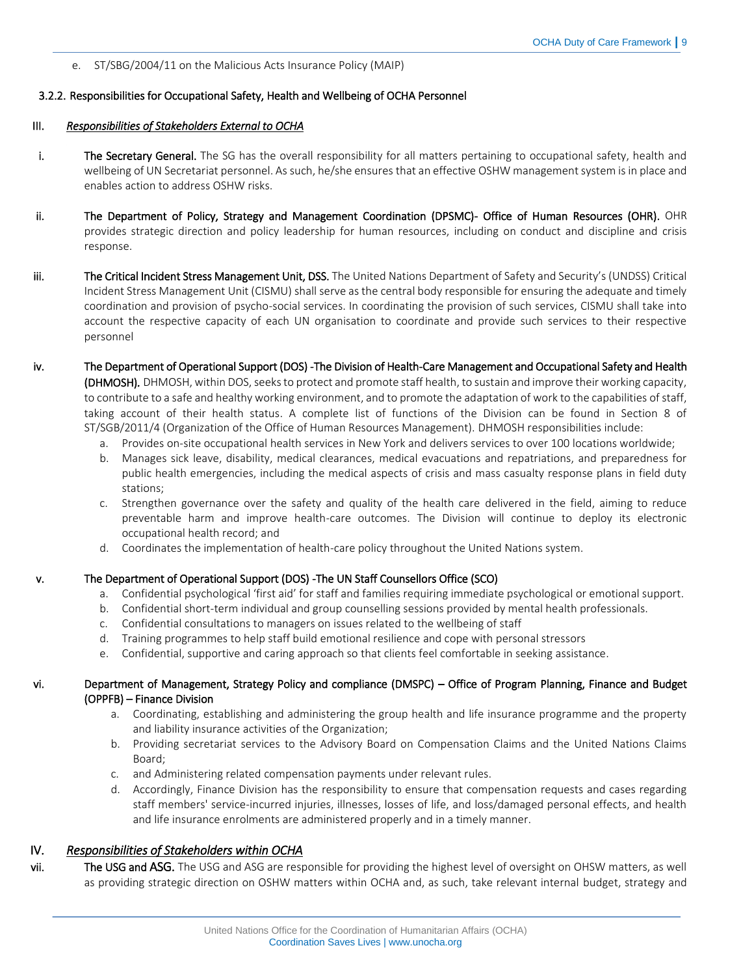#### e. [ST/SBG/2004/11 on the Malicious Acts Insurance Policy \(MAIP\)](https://iseek-newyork.un.org/system/files/iseek/LibraryDocuments/1290-201302201125544115429.pdf)

#### <span id="page-8-0"></span>3.2.2. Responsibilities for Occupational Safety, Health and Wellbeing of OCHA Personnel

#### III. *Responsibilities of Stakeholders External to OCHA*

- i. The Secretary General. The SG has the overall responsibility for all matters pertaining to occupational safety, health and wellbeing of UN Secretariat personnel. As such, he/she ensures that an effective OSHW management system is in place and enables action to address OSHW risks.
- ii. The Department of Policy, Strategy and Management Coordination (DPSMC)- Office of Human Resources (OHR). OHR provides strategic direction and policy leadership for human resources, including on conduct and discipline and crisis response.
- iii. The Critical Incident Stress Management Unit, DSS. The United Nations Department of Safety and Security's (UNDSS) Critical Incident Stress Management Unit (CISMU) shall serve as the central body responsible for ensuring the adequate and timely coordination and provision of psycho-social services. In coordinating the provision of such services, CISMU shall take into account the respective capacity of each UN organisation to coordinate and provide such services to their respective personnel
- iv. The Department of Operational Support (DOS) -The Division of Health-Care Management and Occupational Safety and Health (DHMOSH). DHMOSH, within DOS, seeks to protect and promote staff health, to sustain and improve their working capacity, to contribute to a safe and healthy working environment, and to promote the adaptation of work to the capabilities of staff, taking account of their health status. A complete list of functions of the Division can be found in Section 8 of [ST/SGB/2011/4](http://undocs.org/ST/SGB/2011/4) (Organization of the Office of Human Resources Management). DHMOSH responsibilities include:
	- a. Provides on-site occupational health services in New York and delivers services to over 100 locations worldwide;
	- b. Manages sick leave, disability, medical clearances, medical evacuations and repatriations, and preparedness for public health emergencies, including the medical aspects of crisis and mass casualty response plans in field duty stations;
	- c. Strengthen governance over the safety and quality of the health care delivered in the field, aiming to reduce preventable harm and improve health-care outcomes. The Division will continue to deploy its electronic occupational health record; and
	- d. Coordinates the implementation of health-care policy throughout the United Nations system.

#### v. The Department of Operational Support (DOS) -The UN Staff Counsellors Office (SCO)

- a. Confidential psychological 'first aid' for staff and families requiring immediate psychological or emotional support.
- b. Confidential short-term individual and group counselling sessions provided by mental health professionals.
- c. Confidential consultations to managers on issues related to the wellbeing of staff
- d. Training programmes to help staff build emotional resilience and cope with personal stressors
- e. Confidential, supportive and caring approach so that clients feel comfortable in seeking assistance.

#### vi. Department of Management, Strategy Policy and compliance (DMSPC) – Office of Program Planning, Finance and Budget (OPPFB) – Finance Division

- a. Coordinating, establishing and administering the group health and life insurance programme and the property and liability insurance activities of the Organization;
- b. Providing secretariat services to the Advisory Board on Compensation Claims and the United Nations Claims Board;
- c. and Administering related compensation payments under relevant rules.
- d. Accordingly, Finance Division has the responsibility to ensure that compensation requests and cases regarding staff members' service-incurred injuries, illnesses, losses of life, and loss/damaged personal effects, and health and life insurance enrolments are administered properly and in a timely manner.

# IV. *Responsibilities of Stakeholders within OCHA*

vii. The USG and ASG. The USG and ASG are responsible for providing the highest level of oversight on OHSW matters, as well as providing strategic direction on OSHW matters within OCHA and, as such, take relevant internal budget, strategy and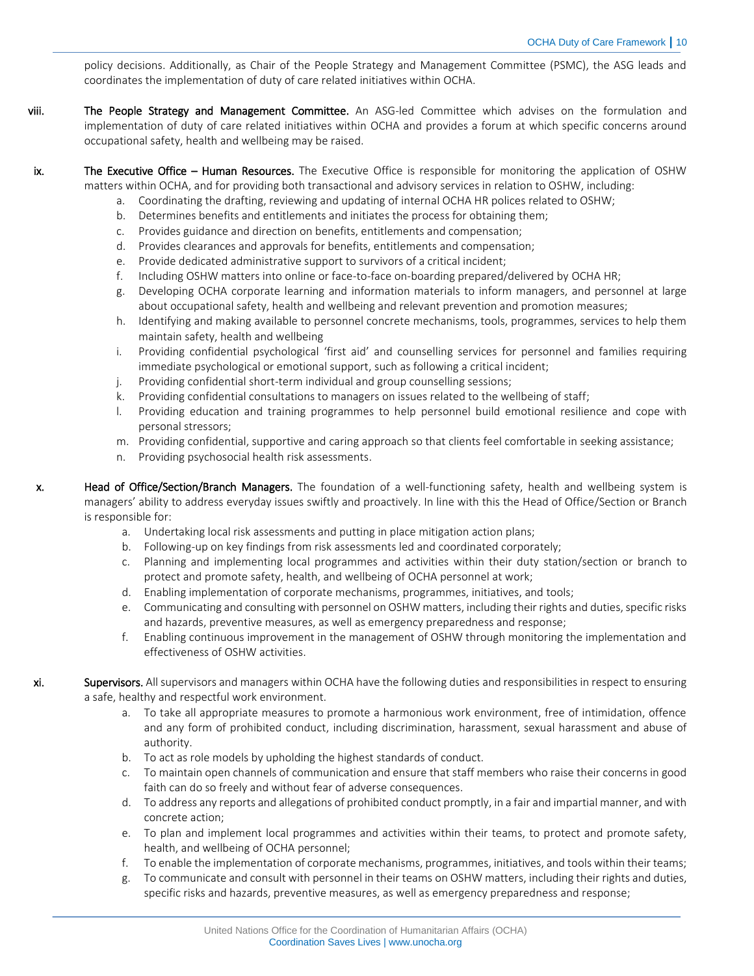policy decisions. Additionally, as Chair of the People Strategy and Management Committee (PSMC), the ASG leads and coordinates the implementation of duty of care related initiatives within OCHA.

- viii. The People Strategy and Management Committee. An ASG-led Committee which advises on the formulation and implementation of duty of care related initiatives within OCHA and provides a forum at which specific concerns around occupational safety, health and wellbeing may be raised.
- ix. The Executive Office Human Resources. The Executive Office is responsible for monitoring the application of OSHW matters within OCHA, and for providing both transactional and advisory services in relation to OSHW, including:
	- a. Coordinating the drafting, reviewing and updating of internal OCHA HR polices related to OSHW;
	- b. Determines benefits and entitlements and initiates the process for obtaining them;
	- c. Provides guidance and direction on benefits, entitlements and compensation;
	- d. Provides clearances and approvals for benefits, entitlements and compensation;
	- e. Provide dedicated administrative support to survivors of a critical incident;
	- f. Including OSHW matters into online or face-to-face on-boarding prepared/delivered by OCHA HR;
	- g. Developing OCHA corporate learning and information materials to inform managers, and personnel at large about occupational safety, health and wellbeing and relevant prevention and promotion measures;
	- h. Identifying and making available to personnel concrete mechanisms, tools, programmes, services to help them maintain safety, health and wellbeing
	- i. Providing confidential psychological 'first aid' and counselling services for personnel and families requiring immediate psychological or emotional support, such as following a critical incident;
	- j. Providing confidential short-term individual and group counselling sessions;
	- k. Providing confidential consultations to managers on issues related to the wellbeing of staff;
	- l. Providing education and training programmes to help personnel build emotional resilience and cope with personal stressors;
	- m. Providing confidential, supportive and caring approach so that clients feel comfortable in seeking assistance;
	- n. Providing psychosocial health risk assessments.

x. Head of Office/Section/Branch Managers. The foundation of a well-functioning safety, health and wellbeing system is managers' ability to address everyday issues swiftly and proactively. In line with this the Head of Office/Section or Branch is responsible for:

- a. Undertaking local risk assessments and putting in place mitigation action plans;
- b. Following-up on key findings from risk assessments led and coordinated corporately;
- c. Planning and implementing local programmes and activities within their duty station/section or branch to protect and promote safety, health, and wellbeing of OCHA personnel at work;
- d. Enabling implementation of corporate mechanisms, programmes, initiatives, and tools;
- e. Communicating and consulting with personnel on OSHW matters, including their rights and duties, specific risks and hazards, preventive measures, as well as emergency preparedness and response;
- f. Enabling continuous improvement in the management of OSHW through monitoring the implementation and effectiveness of OSHW activities.
- **xi.** Supervisors. All supervisors and managers within OCHA have the following duties and responsibilities in respect to ensuring a safe, healthy and respectful work environment.
	- a. To take all appropriate measures to promote a harmonious work environment, free of intimidation, offence and any form of prohibited conduct, including discrimination, harassment, sexual harassment and abuse of authority.
	- b. To act as role models by upholding the highest standards of conduct.
	- c. To maintain open channels of communication and ensure that staff members who raise their concerns in good faith can do so freely and without fear of adverse consequences.
	- d. To address any reports and allegations of prohibited conduct promptly, in a fair and impartial manner, and with concrete action;
	- e. To plan and implement local programmes and activities within their teams, to protect and promote safety, health, and wellbeing of OCHA personnel;
	- f. To enable the implementation of corporate mechanisms, programmes, initiatives, and tools within their teams;
	- g. To communicate and consult with personnel in their teams on OSHW matters, including their rights and duties, specific risks and hazards, preventive measures, as well as emergency preparedness and response;